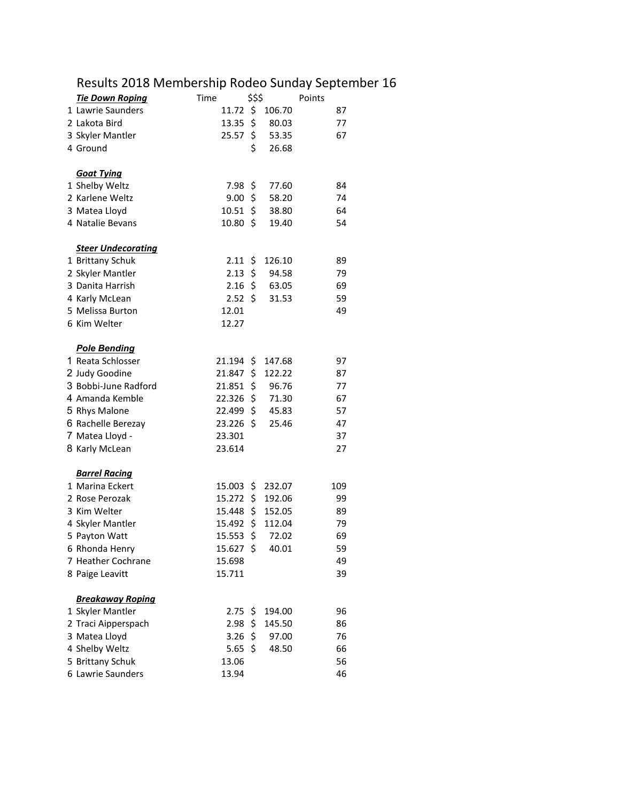## Results 2018 Membership Rodeo Sunday September 16

| <b>Tie Down Roping</b>    | Time |                 | \$\$\$             |        | Points |     |
|---------------------------|------|-----------------|--------------------|--------|--------|-----|
| 1 Lawrie Saunders         |      | 11.72           | \$                 | 106.70 |        | 87  |
| 2 Lakota Bird             |      | 13.35           | \$                 | 80.03  |        | 77  |
| 3 Skyler Mantler          |      | 25.57           | \$                 | 53.35  |        | 67  |
| 4 Ground                  |      |                 | \$                 | 26.68  |        |     |
| <b>Goat Tying</b>         |      |                 |                    |        |        |     |
| 1 Shelby Weltz            |      | 7.98            | \$                 | 77.60  |        | 84  |
| 2 Karlene Weltz           |      | 9.00            | \$                 | 58.20  |        | 74  |
| 3 Matea Lloyd             |      | 10.51           | \$                 | 38.80  |        | 64  |
| 4 Natalie Bevans          |      | 10.80           | \$                 | 19.40  |        | 54  |
|                           |      |                 |                    |        |        |     |
| <b>Steer Undecorating</b> |      |                 |                    |        |        |     |
| 1 Brittany Schuk          |      | $2.11$ \$       |                    | 126.10 |        | 89  |
| 2 Skyler Mantler          |      | 2.13            | $\frac{1}{2}$      | 94.58  |        | 79  |
| 3 Danita Harrish          |      | 2.16            | $\ddot{\varsigma}$ | 63.05  |        | 69  |
| 4 Karly McLean            |      | $2.52 \text{ }$ |                    | 31.53  |        | 59  |
| 5 Melissa Burton          |      | 12.01           |                    |        |        | 49  |
| 6 Kim Welter              |      | 12.27           |                    |        |        |     |
| <b>Pole Bending</b>       |      |                 |                    |        |        |     |
| 1 Reata Schlosser         |      | 21.194          | \$                 | 147.68 |        | 97  |
| 2 Judy Goodine            |      | 21.847          | \$                 | 122.22 |        | 87  |
| 3 Bobbi-June Radford      |      | 21.851          | \$                 | 96.76  |        | 77  |
| 4 Amanda Kemble           |      | 22.326          | \$                 | 71.30  |        | 67  |
| 5 Rhys Malone             |      | 22.499          | \$                 | 45.83  |        | 57  |
| 6 Rachelle Berezay        |      | 23.226          | Ś.                 | 25.46  |        | 47  |
| 7 Matea Lloyd -           |      | 23.301          |                    |        |        | 37  |
| 8 Karly McLean            |      | 23.614          |                    |        |        | 27  |
| <b>Barrel Racing</b>      |      |                 |                    |        |        |     |
| 1 Marina Eckert           |      | 15.003          | \$                 | 232.07 |        | 109 |
| 2 Rose Perozak            |      | 15.272          | \$                 | 192.06 |        | 99  |
| 3 Kim Welter              |      | 15.448          | \$                 | 152.05 |        | 89  |
| 4 Skyler Mantler          |      | 15.492          | \$                 | 112.04 |        | 79  |
| 5 Payton Watt             |      | 15.553          | \$                 | 72.02  |        | 69  |
| 6 Rhonda Henry            |      | 15.627 \$       |                    | 40.01  |        | 59  |
| 7 Heather Cochrane        |      | 15.698          |                    |        |        | 49  |
| 8 Paige Leavitt           |      | 15.711          |                    |        |        | 39  |
| <b>Breakaway Roping</b>   |      |                 |                    |        |        |     |
| 1 Skyler Mantler          |      | $2.75$ \$       |                    | 194.00 |        | 96  |
| 2 Traci Aipperspach       |      | $2.98$ \$       |                    | 145.50 |        | 86  |
| 3 Matea Lloyd             |      | 3.26            | $\zeta$            | 97.00  |        | 76  |
| 4 Shelby Weltz            |      | 5.65            | \$                 | 48.50  |        | 66  |
| 5 Brittany Schuk          |      | 13.06           |                    |        |        | 56  |
| 6 Lawrie Saunders         |      |                 |                    |        |        |     |
|                           |      | 13.94           |                    |        |        | 46  |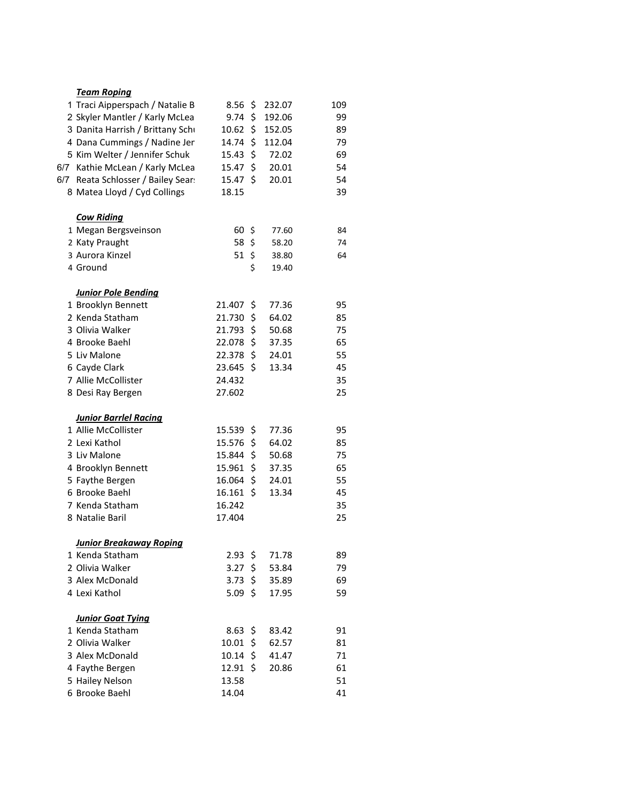|     | <u>Team Roping</u>                 |           |              |     |
|-----|------------------------------------|-----------|--------------|-----|
|     | 1 Traci Aipperspach / Natalie B    | 8.56      | \$<br>232.07 | 109 |
|     | 2 Skyler Mantler / Karly McLea     | 9.74      | \$<br>192.06 | 99  |
|     | 3 Danita Harrish / Brittany Schu   | 10.62     | \$<br>152.05 | 89  |
|     | 4 Dana Cummings / Nadine Jen       | 14.74     | \$<br>112.04 | 79  |
|     | 5 Kim Welter / Jennifer Schuk      | 15.43     | \$<br>72.02  | 69  |
| 6/7 | Kathie McLean / Karly McLea        | 15.47     | \$<br>20.01  | 54  |
|     | 6/7 Reata Schlosser / Bailey Sear: | 15.47     | \$<br>20.01  | 54  |
|     | 8 Matea Lloyd / Cyd Collings       | 18.15     |              | 39  |
|     | <b>Cow Riding</b>                  |           |              |     |
|     | 1 Megan Bergsveinson               | $60$ \$   | 77.60        | 84  |
|     | 2 Katy Praught                     | 58 \$     | 58.20        | 74  |
|     | 3 Aurora Kinzel                    | $51$ \$   | 38.80        | 64  |
|     | 4 Ground                           |           | \$<br>19.40  |     |
|     |                                    |           |              |     |
|     | <b>Junior Pole Bending</b>         |           |              |     |
|     | 1 Brooklyn Bennett                 | 21.407    | \$<br>77.36  | 95  |
|     | 2 Kenda Statham                    | 21.730    | \$<br>64.02  | 85  |
|     | 3 Olivia Walker                    | 21.793    | \$<br>50.68  | 75  |
|     | 4 Brooke Baehl                     | 22.078    | \$<br>37.35  | 65  |
|     | 5 Liv Malone                       | 22.378    | \$<br>24.01  | 55  |
|     | 6 Cayde Clark                      | 23.645    | \$<br>13.34  | 45  |
|     | 7 Allie McCollister                | 24.432    |              | 35  |
|     | 8 Desi Ray Bergen                  | 27.602    |              | 25  |
|     | <b>Junior Barrlel Racing</b>       |           |              |     |
|     | 1 Allie McCollister                | 15.539    | \$<br>77.36  | 95  |
|     | 2 Lexi Kathol                      | 15.576    | \$<br>64.02  | 85  |
|     | 3 Liv Malone                       | 15.844    | \$<br>50.68  | 75  |
|     | 4 Brooklyn Bennett                 | 15.961    | \$<br>37.35  | 65  |
|     | 5 Faythe Bergen                    | 16.064    | \$<br>24.01  | 55  |
|     | 6 Brooke Baehl                     | 16.161    | \$<br>13.34  | 45  |
|     | 7 Kenda Statham                    | 16.242    |              | 35  |
|     | 8 Natalie Baril                    | 17.404    |              | 25  |
|     |                                    |           |              |     |
|     | <b>Junior Breakaway Roping</b>     |           |              |     |
|     | 1 Kenda Statham                    | $2.93$ \$ | 71.78        | 89  |
|     | 2 Olivia Walker                    | 3.27      | \$<br>53.84  | 79  |
|     | 3 Alex McDonald                    | 3.73      | \$<br>35.89  | 69  |
|     | 4 Lexi Kathol                      | 5.09      | \$<br>17.95  | 59  |
|     | <b>Junior Goat Tying</b>           |           |              |     |
|     | 1 Kenda Statham                    | 8.63      | \$<br>83.42  | 91  |
|     | 2 Olivia Walker                    | 10.01     | \$<br>62.57  | 81  |
|     | 3 Alex McDonald                    | 10.14     | \$<br>41.47  | 71  |
|     | 4 Faythe Bergen                    | 12.91     | \$<br>20.86  | 61  |
|     | 5 Hailey Nelson                    | 13.58     |              | 51  |
|     | 6 Brooke Baehl                     | 14.04     |              | 41  |